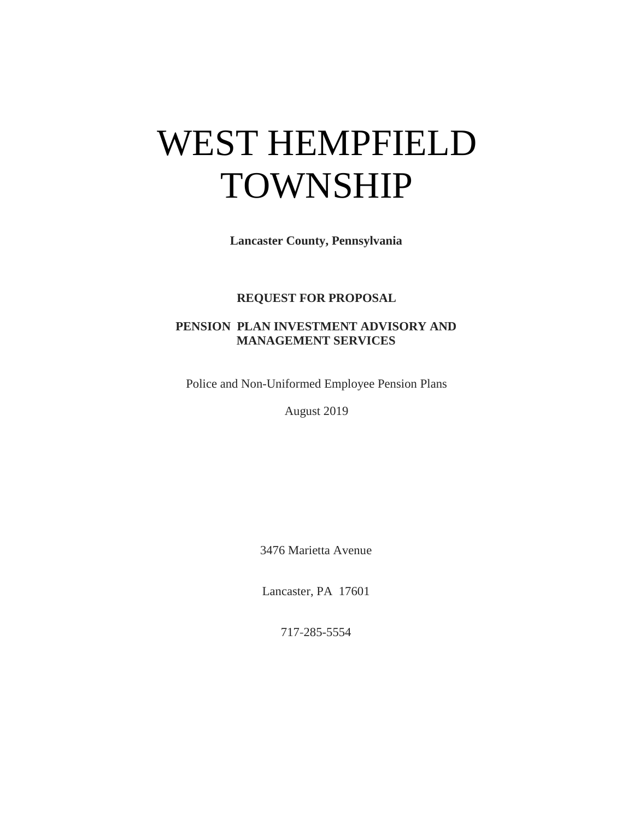# WEST HEMPFIELD TOWNSHIP

**Lancaster County, Pennsylvania**

### **REQUEST FOR PROPOSAL**

## **PENSION PLAN INVESTMENT ADVISORY AND MANAGEMENT SERVICES**

Police and Non-Uniformed Employee Pension Plans

August 2019

3476 Marietta Avenue

Lancaster, PA 17601

717-285-5554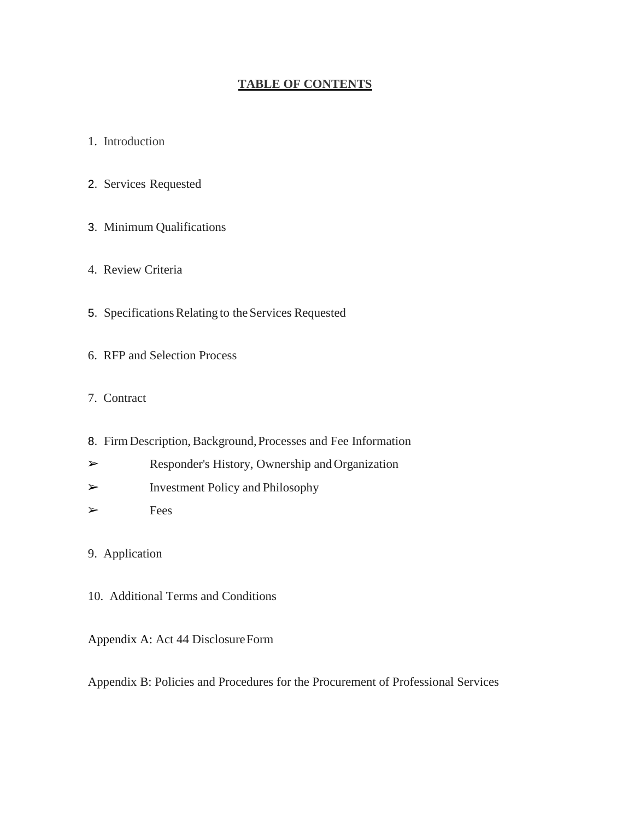#### **TABLE OF CONTENTS**

- 1. Introduction
- 2. Services Requested
- 3. Minimum Qualifications
- 4. Review Criteria
- 5. Specifications Relating to the Services Requested
- 6. RFP and Selection Process
- 7. Contract
- 8. FirmDescription, Background,Processes and Fee Information
- ➢ Responder's History, Ownership and Organization
- ➢ Investment Policy and Philosophy
- ➢ Fees

## 9. Application

10. Additional Terms and Conditions

Appendix A: Act 44 DisclosureForm

Appendix B: Policies and Procedures for the Procurement of Professional Services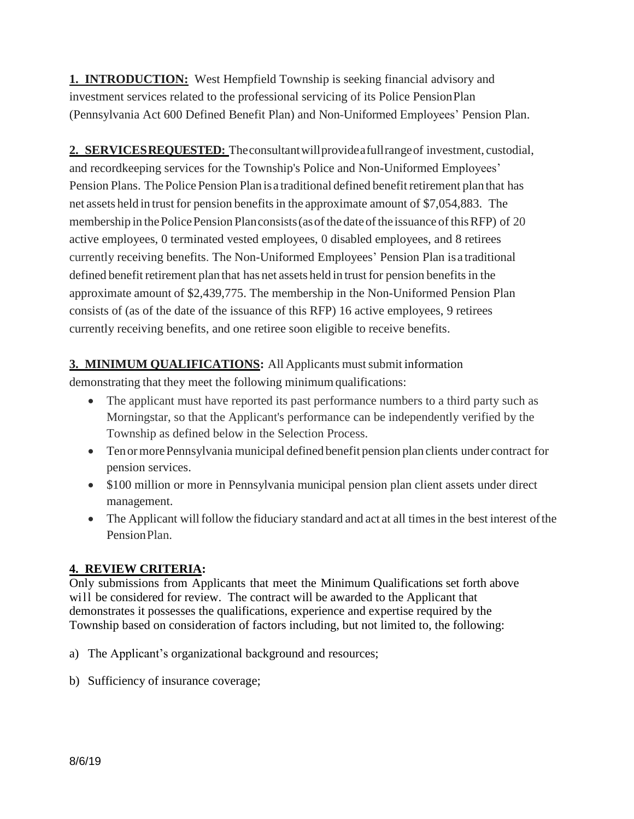**1. INTRODUCTION:** West Hempfield Township is seeking financial advisory and investment services related to the professional servicing of its Police PensionPlan (Pennsylvania Act 600 Defined Benefit Plan) and Non-Uniformed Employees' Pension Plan.

**2. SERVICESREQUESTED:** Theconsultantwillprovideafullrangeof investment, custodial, and recordkeeping services for the Township's Police and Non-Uniformed Employees' Pension Plans. The Police Pension Plan is a traditional defined benefit retirement plan that has net assets held in trust for pension benefits in the approximate amount of \$7,054,883. The membership in the Police Pension Planconsists (as of the date of the issuance of this RFP) of 20 active employees, 0 terminated vested employees, 0 disabled employees, and 8 retirees currently receiving benefits. The Non-Uniformed Employees' Pension Plan is a traditional defined benefit retirement plan that has net assets held in trust for pension benefits in the approximate amount of \$2,439,775. The membership in the Non-Uniformed Pension Plan consists of (as of the date of the issuance of this RFP) 16 active employees, 9 retirees currently receiving benefits, and one retiree soon eligible to receive benefits.

## **3. MINIMUM QUALIFICATIONS:** All Applicants must submit information

demonstrating that they meet the following minimumqualifications:

- The applicant must have reported its past performance numbers to a third party such as Morningstar, so that the Applicant's performance can be independently verified by the Township as defined below in the Selection Process.
- Ten or more Pennsylvania municipal defined benefit pension plan clients under contract for pension services.
- \$100 million or more in Pennsylvania municipal pension plan client assets under direct management.
- The Applicant will follow the fiduciary standard and act at all times in the best interest of the PensionPlan.

# **4. REVIEW CRITERIA:**

Only submissions from Applicants that meet the Minimum Qualifications set forth above will be considered for review. The contract will be awarded to the Applicant that demonstrates it possesses the qualifications, experience and expertise required by the Township based on consideration of factors including, but not limited to, the following:

- a) The Applicant's organizational background and resources;
- b) Sufficiency of insurance coverage;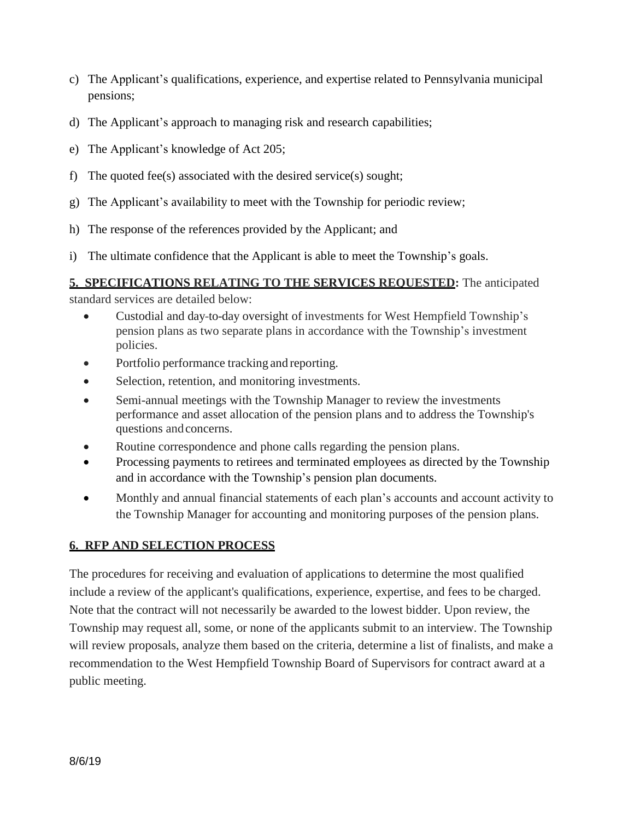- c) The Applicant's qualifications, experience, and expertise related to Pennsylvania municipal pensions;
- d) The Applicant's approach to managing risk and research capabilities;
- e) The Applicant's knowledge of Act 205;
- f) The quoted fee(s) associated with the desired service(s) sought;
- g) The Applicant's availability to meet with the Township for periodic review;
- h) The response of the references provided by the Applicant; and
- i) The ultimate confidence that the Applicant is able to meet the Township's goals.

### **5. SPECIFICATIONS RELATING TO THE SERVICES REQUESTED:** The anticipated

standard services are detailed below:

- Custodial and day-to-day oversight of investments for West Hempfield Township's pension plans as two separate plans in accordance with the Township's investment policies.
- Portfolio performance tracking and reporting.
- Selection, retention, and monitoring investments.
- Semi-annual meetings with the Township Manager to review the investments performance and asset allocation of the pension plans and to address the Township's questions andconcerns.
- Routine correspondence and phone calls regarding the pension plans.
- Processing payments to retirees and terminated employees as directed by the Township and in accordance with the Township's pension plan documents.
- Monthly and annual financial statements of each plan's accounts and account activity to the Township Manager for accounting and monitoring purposes of the pension plans.

### **6. RFP AND SELECTION PROCESS**

The procedures for receiving and evaluation of applications to determine the most qualified include a review of the applicant's qualifications, experience, expertise, and fees to be charged. Note that the contract will not necessarily be awarded to the lowest bidder. Upon review, the Township may request all, some, or none of the applicants submit to an interview. The Township will review proposals, analyze them based on the criteria, determine a list of finalists, and make a recommendation to the West Hempfield Township Board of Supervisors for contract award at a public meeting.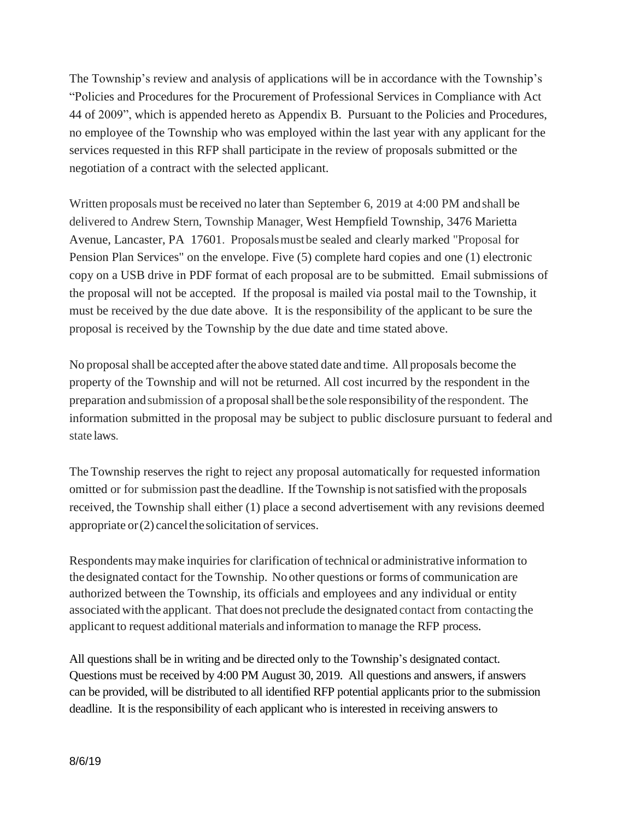The Township's review and analysis of applications will be in accordance with the Township's "Policies and Procedures for the Procurement of Professional Services in Compliance with Act 44 of 2009", which is appended hereto as Appendix B. Pursuant to the Policies and Procedures, no employee of the Township who was employed within the last year with any applicant for the services requested in this RFP shall participate in the review of proposals submitted or the negotiation of a contract with the selected applicant.

Written proposals must be received no later than September 6, 2019 at 4:00 PM andshall be delivered to Andrew Stern, Township Manager, West Hempfield Township, 3476 Marietta Avenue, Lancaster, PA 17601. Proposalsmustbe sealed and clearly marked "Proposal for Pension Plan Services" on the envelope. Five (5) complete hard copies and one (1) electronic copy on a USB drive in PDF format of each proposal are to be submitted. Email submissions of the proposal will not be accepted. If the proposal is mailed via postal mail to the Township, it must be received by the due date above. It is the responsibility of the applicant to be sure the proposal is received by the Township by the due date and time stated above.

No proposal shall be accepted after the above stated date and time. All proposals become the property of the Township and will not be returned. All cost incurred by the respondent in the preparation and submission of a proposal shall be the sole responsibility of the respondent. The information submitted in the proposal may be subject to public disclosure pursuant to federal and state laws.

The Township reserves the right to reject any proposal automatically for requested information omitted or for submission past the deadline. If the Township is notsatisfied with the proposals received, the Township shall either (1) place a second advertisement with any revisions deemed appropriate or  $(2)$  cancel the solicitation of services.

Respondents may make inquiries for clarification of technical or administrative information to the designated contact for the Township. No other questions or forms of communication are authorized between the Township, its officials and employees and any individual or entity associated withthe applicant. That does not preclude the designated contact from contacting the applicant to request additional materials and information to manage the RFP process.

All questions shall be in writing and be directed only to the Township's designated contact. Questions must be received by 4:00 PM August 30, 2019. All questions and answers, if answers can be provided, will be distributed to all identified RFP potential applicants prior to the submission deadline. It is the responsibility of each applicant who is interested in receiving answers to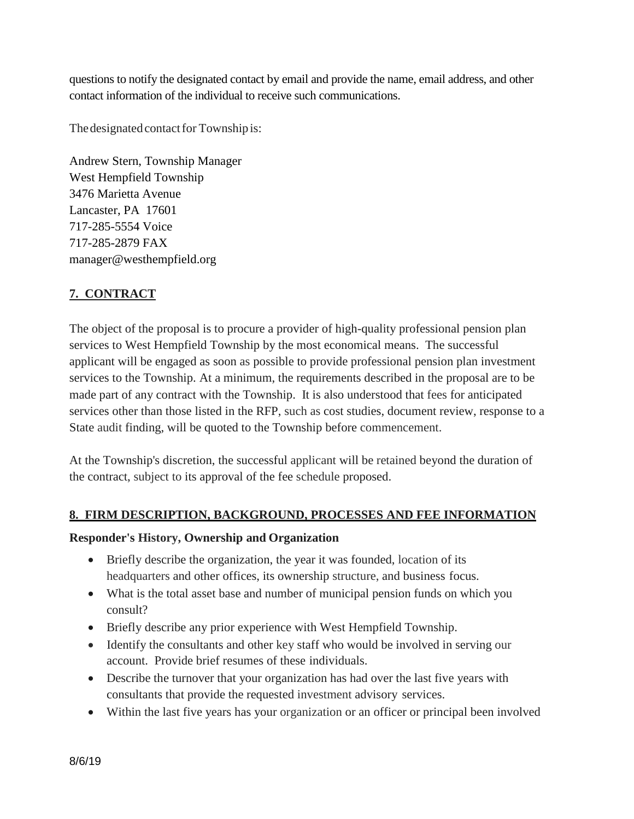questions to notify the designated contact by email and provide the name, email address, and other contact information of the individual to receive such communications.

The designated contact for Township is:

Andrew Stern, Township Manager West Hempfield Township 3476 Marietta Avenue Lancaster, PA 17601 717-285-5554 Voice 717-285-2879 FAX manager@westhempfield.org

# **7. CONTRACT**

The object of the proposal is to procure a provider of high-quality professional pension plan services to West Hempfield Township by the most economical means. The successful applicant will be engaged as soon as possible to provide professional pension plan investment services to the Township. At a minimum, the requirements described in the proposal are to be made part of any contract with the Township. It is also understood that fees for anticipated services other than those listed in the RFP, such as cost studies, document review, response to a State audit finding, will be quoted to the Township before commencement.

At the Township's discretion, the successful applicant will be retained beyond the duration of the contract, subject to its approval of the fee schedule proposed.

### **8. FIRM DESCRIPTION, BACKGROUND, PROCESSES AND FEE INFORMATION**

### **Responder's History, Ownership and Organization**

- Briefly describe the organization, the year it was founded, location of its headquarters and other offices, its ownership structure, and business focus.
- What is the total asset base and number of municipal pension funds on which you consult?
- Briefly describe any prior experience with West Hempfield Township.
- Identify the consultants and other key staff who would be involved in serving our account. Provide brief resumes of these individuals.
- Describe the turnover that your organization has had over the last five years with consultants that provide the requested investment advisory services.
- Within the last five years has your organization or an officer or principal been involved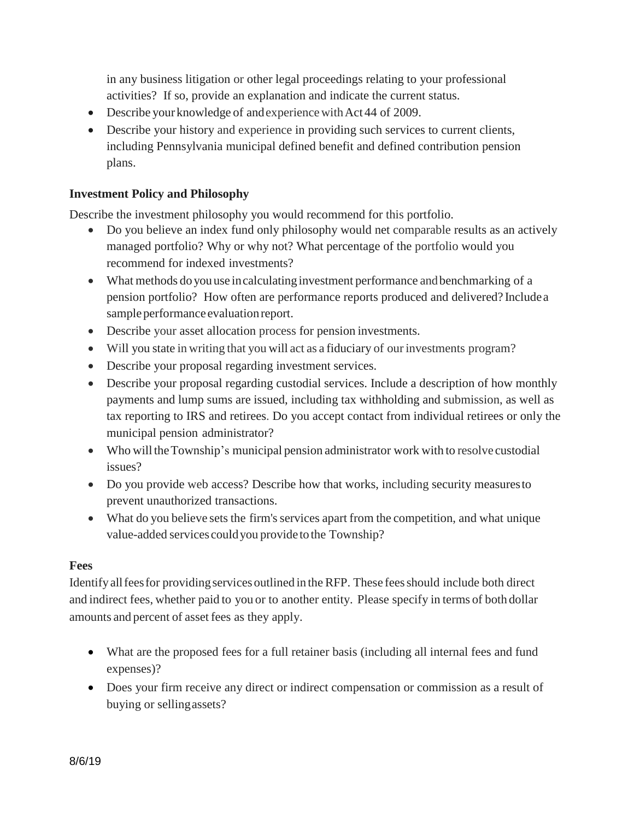in any business litigation or other legal proceedings relating to your professional activities? If so, provide an explanation and indicate the current status.

- Describe your knowledge of and experience with Act 44 of 2009.
- Describe your history and experience in providing such services to current clients, including Pennsylvania municipal defined benefit and defined contribution pension plans.

#### **Investment Policy and Philosophy**

Describe the investment philosophy you would recommend for this portfolio.

- Do you believe an index fund only philosophy would net comparable results as an actively managed portfolio? Why or why not? What percentage of the portfolio would you recommend for indexed investments?
- What methods do you use in calculating investment performance and benchmarking of a pension portfolio? How often are performance reports produced and delivered? Includea sample performance evaluation report.
- Describe your asset allocation process for pension investments.
- Will you state in writing that you will act as a fiduciary of our investments program?
- Describe your proposal regarding investment services.
- Describe your proposal regarding custodial services. Include a description of how monthly payments and lump sums are issued, including tax withholding and submission, as well as tax reporting to IRS and retirees. Do you accept contact from individual retirees or only the municipal pension administrator?
- Who will the Township's municipal pension administrator work with to resolve custodial issues?
- Do you provide web access? Describe how that works, including security measures to prevent unauthorized transactions.
- What do you believe sets the firm's services apart from the competition, and what unique value-added services couldyou provide tothe Township?

#### **Fees**

Identify all fees for providing services outlined in the RFP. These fees should include both direct and indirect fees, whether paid to you or to another entity. Please specify in terms of both dollar amounts and percent of asset fees as they apply.

- What are the proposed fees for a full retainer basis (including all internal fees and fund expenses)?
- Does your firm receive any direct or indirect compensation or commission as a result of buying or sellingassets?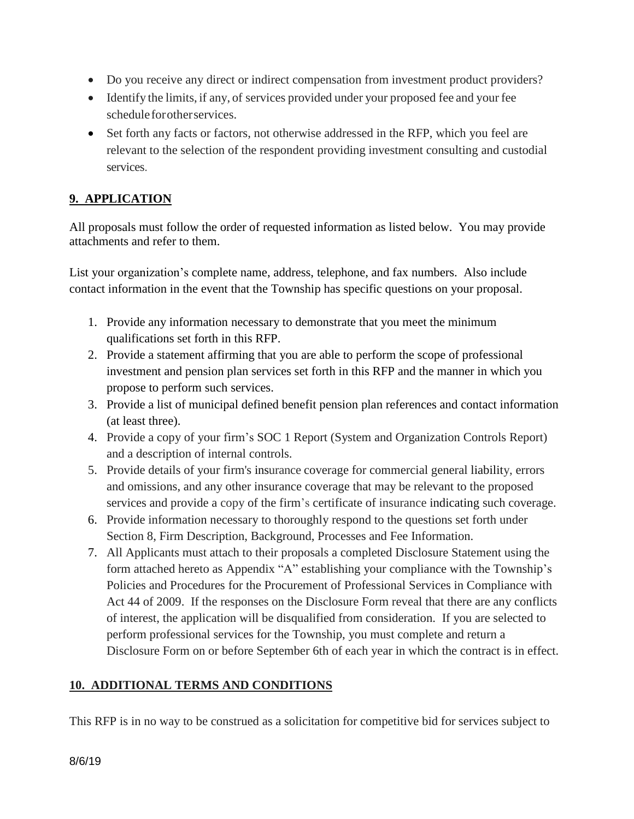- Do you receive any direct or indirect compensation from investment product providers?
- Identify the limits, if any, of services provided under your proposed fee and your fee schedule for other services.
- Set forth any facts or factors, not otherwise addressed in the RFP, which you feel are relevant to the selection of the respondent providing investment consulting and custodial services.

## **9. APPLICATION**

All proposals must follow the order of requested information as listed below. You may provide attachments and refer to them.

List your organization's complete name, address, telephone, and fax numbers. Also include contact information in the event that the Township has specific questions on your proposal.

- 1. Provide any information necessary to demonstrate that you meet the minimum qualifications set forth in this RFP.
- 2. Provide a statement affirming that you are able to perform the scope of professional investment and pension plan services set forth in this RFP and the manner in which you propose to perform such services.
- 3. Provide a list of municipal defined benefit pension plan references and contact information (at least three).
- 4. Provide a copy of your firm's SOC 1 Report (System and Organization Controls Report) and a description of internal controls.
- 5. Provide details of your firm's insurance coverage for commercial general liability, errors and omissions, and any other insurance coverage that may be relevant to the proposed services and provide a copy of the firm's certificate of insurance indicating such coverage.
- 6. Provide information necessary to thoroughly respond to the questions set forth under Section 8, Firm Description, Background, Processes and Fee Information.
- 7. All Applicants must attach to their proposals a completed Disclosure Statement using the form attached hereto as Appendix "A" establishing your compliance with the Township's Policies and Procedures for the Procurement of Professional Services in Compliance with Act 44 of 2009. If the responses on the Disclosure Form reveal that there are any conflicts of interest, the application will be disqualified from consideration. If you are selected to perform professional services for the Township, you must complete and return a Disclosure Form on or before September 6th of each year in which the contract is in effect.

## **10. ADDITIONAL TERMS AND CONDITIONS**

This RFP is in no way to be construed as a solicitation for competitive bid for services subject to